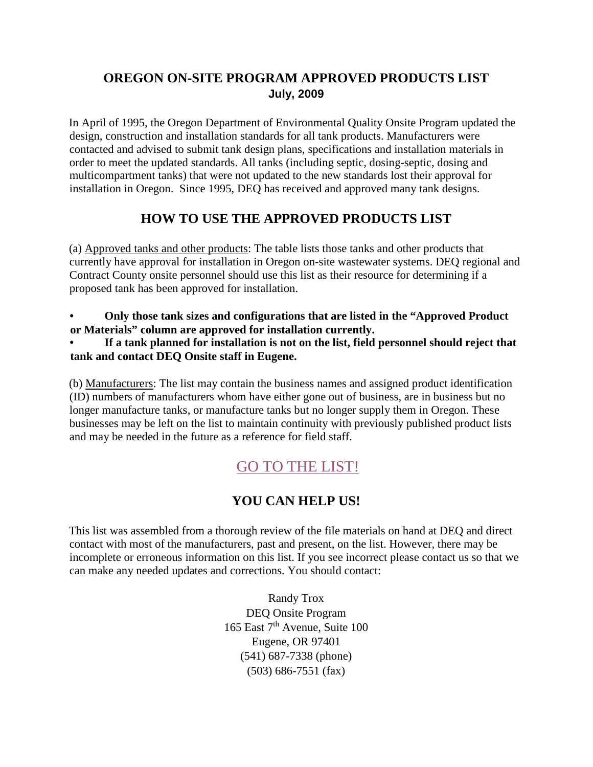# **OREGON ON-SITE PROGRAM APPROVED PRODUCTS LIST July, 2009**

In April of 1995, the Oregon Department of Environmental Quality Onsite Program updated the design, construction and installation standards for all tank products. Manufacturers were contacted and advised to submit tank design plans, specifications and installation materials in order to meet the updated standards. All tanks (including septic, dosing-septic, dosing and multicompartment tanks) that were not updated to the new standards lost their approval for installation in Oregon. Since 1995, DEQ has received and approved many tank designs.

## **HOW TO USE THE APPROVED PRODUCTS LIST**

(a) Approved tanks and other products: The table lists those tanks and other products that currently have approval for installation in Oregon on-site wastewater systems. DEQ regional and Contract County onsite personnel should use this list as their resource for determining if a proposed tank has been approved for installation.

• **Only those tank sizes and configurations that are listed in the "Approved Product or Materials" column are approved for installation currently.** 

• **If a tank planned for installation is not on the list, field personnel should reject that tank and contact DEQ Onsite staff in Eugene.** 

(b) Manufacturers: The list may contain the business names and assigned product identification (ID) numbers of manufacturers whom have either gone out of business, are in business but no longer manufacture tanks, or manufacture tanks but no longer supply them in Oregon. These businesses may be left on the list to maintain continuity with previously published product lists and may be needed in the future as a reference for field staff.

# [GO TO THE LIST!](http://www.oregon.gov/deq/FilterDocs/MaintProviders.pdf)

### **YOU CAN HELP US!**

This list was assembled from a thorough review of the file materials on hand at DEQ and direct contact with most of the manufacturers, past and present, on the list. However, there may be incomplete or erroneous information on this list. If you see incorrect please contact us so that we can make any needed updates and corrections. You should contact:

> Randy Trox DEQ Onsite Program 165 East 7th Avenue, Suite 100 Eugene, OR 97401 (541) 687-7338 (phone) (503) 686-7551 (fax)